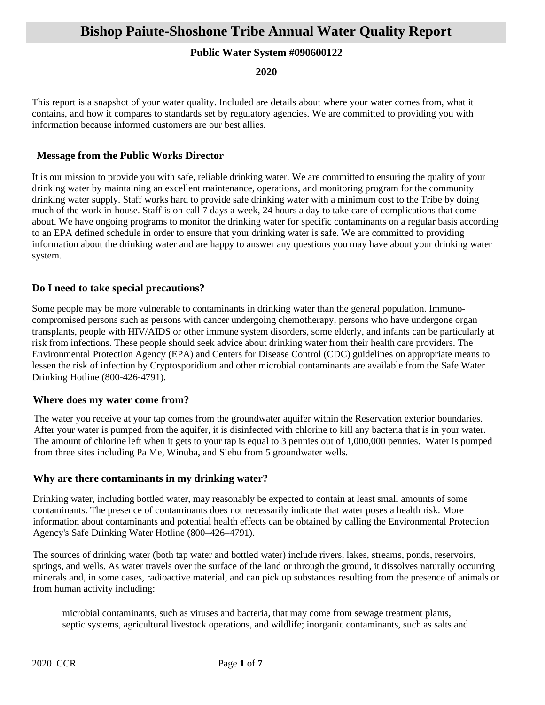### **Public Water System #090600122**

**2020**

This report is a snapshot of your water quality. Included are details about where your water comes from, what it contains, and how it compares to standards set by regulatory agencies. We are committed to providing you with information because informed customers are our best allies.

### **Message from the Public Works Director**

It is our mission to provide you with safe, reliable drinking water. We are committed to ensuring the quality of your drinking water by maintaining an excellent maintenance, operations, and monitoring program for the community drinking water supply. Staff works hard to provide safe drinking water with a minimum cost to the Tribe by doing much of the work in-house. Staff is on-call 7 days a week, 24 hours a day to take care of complications that come about. We have ongoing programs to monitor the drinking water for specific contaminants on a regular basis according to an EPA defined schedule in order to ensure that your drinking water is safe. We are committed to providing information about the drinking water and are happy to answer any questions you may have about your drinking water system.

## **Do I need to take special precautions?**

Some people may be more vulnerable to contaminants in drinking water than the general population. Immunocompromised persons such as persons with cancer undergoing chemotherapy, persons who have undergone organ transplants, people with HIV/AIDS or other immune system disorders, some elderly, and infants can be particularly at risk from infections. These people should seek advice about drinking water from their health care providers. The Environmental Protection Agency (EPA) and Centers for Disease Control (CDC) guidelines on appropriate means to lessen the risk of infection by Cryptosporidium and other microbial contaminants are available from the Safe Water Drinking Hotline (800-426-4791).

#### **Where does my water come from?**

The water you receive at your tap comes from the groundwater aquifer within the Reservation exterior boundaries. After your water is pumped from the aquifer, it is disinfected with chlorine to kill any bacteria that is in your water. The amount of chlorine left when it gets to your tap is equal to 3 pennies out of 1,000,000 pennies. Water is pumped from three sites including Pa Me, Winuba, and Siebu from 5 groundwater wells.

#### **Why are there contaminants in my drinking water?**

Drinking water, including bottled water, may reasonably be expected to contain at least small amounts of some contaminants. The presence of contaminants does not necessarily indicate that water poses a health risk. More information about contaminants and potential health effects can be obtained by calling the Environmental Protection Agency's Safe Drinking Water Hotline (800–426–4791).

The sources of drinking water (both tap water and bottled water) include rivers, lakes, streams, ponds, reservoirs, springs, and wells. As water travels over the surface of the land or through the ground, it dissolves naturally occurring minerals and, in some cases, radioactive material, and can pick up substances resulting from the presence of animals or from human activity including:

microbial contaminants, such as viruses and bacteria, that may come from sewage treatment plants, septic systems, agricultural livestock operations, and wildlife; inorganic contaminants, such as salts and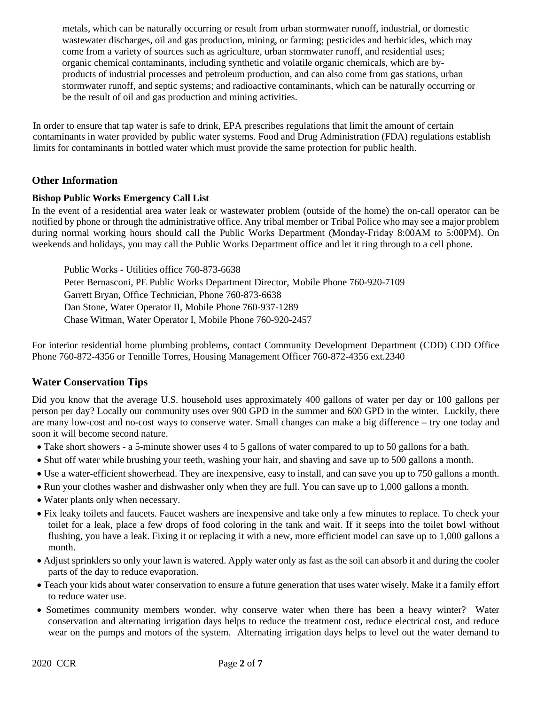metals, which can be naturally occurring or result from urban stormwater runoff, industrial, or domestic wastewater discharges, oil and gas production, mining, or farming; pesticides and herbicides, which may come from a variety of sources such as agriculture, urban stormwater runoff, and residential uses; organic chemical contaminants, including synthetic and volatile organic chemicals, which are byproducts of industrial processes and petroleum production, and can also come from gas stations, urban stormwater runoff, and septic systems; and radioactive contaminants, which can be naturally occurring or be the result of oil and gas production and mining activities.

In order to ensure that tap water is safe to drink, EPA prescribes regulations that limit the amount of certain contaminants in water provided by public water systems. Food and Drug Administration (FDA) regulations establish limits for contaminants in bottled water which must provide the same protection for public health.

## **Other Information**

#### **Bishop Public Works Emergency Call List**

In the event of a residential area water leak or wastewater problem (outside of the home) the on-call operator can be notified by phone or through the administrative office. Any tribal member or Tribal Police who may see a major problem during normal working hours should call the Public Works Department (Monday-Friday 8:00AM to 5:00PM). On weekends and holidays, you may call the Public Works Department office and let it ring through to a cell phone.

Public Works - Utilities office 760-873-6638 Peter Bernasconi, PE Public Works Department Director, Mobile Phone 760-920-7109 Garrett Bryan, Office Technician, Phone 760-873-6638 Dan Stone, Water Operator II, Mobile Phone 760-937-1289 Chase Witman, Water Operator I, Mobile Phone 760-920-2457

For interior residential home plumbing problems, contact Community Development Department (CDD) CDD Office Phone 760-872-4356 or Tennille Torres, Housing Management Officer 760-872-4356 ext.2340

#### **Water Conservation Tips**

Did you know that the average U.S. household uses approximately 400 gallons of water per day or 100 gallons per person per day? Locally our community uses over 900 GPD in the summer and 600 GPD in the winter. Luckily, there are many low-cost and no-cost ways to conserve water. Small changes can make a big difference – try one today and soon it will become second nature.

- Take short showers a 5-minute shower uses 4 to 5 gallons of water compared to up to 50 gallons for a bath.
- Shut off water while brushing your teeth, washing your hair, and shaving and save up to 500 gallons a month.
- Use a water-efficient showerhead. They are inexpensive, easy to install, and can save you up to 750 gallons a month.
- Run your clothes washer and dishwasher only when they are full. You can save up to 1,000 gallons a month.
- Water plants only when necessary.
- Fix leaky toilets and faucets. Faucet washers are inexpensive and take only a few minutes to replace. To check your toilet for a leak, place a few drops of food coloring in the tank and wait. If it seeps into the toilet bowl without flushing, you have a leak. Fixing it or replacing it with a new, more efficient model can save up to 1,000 gallons a month.
- Adjust sprinklers so only your lawn is watered. Apply water only as fast as the soil can absorb it and during the cooler parts of the day to reduce evaporation.
- Teach your kids about water conservation to ensure a future generation that uses water wisely. Make it a family effort to reduce water use.
- Sometimes community members wonder, why conserve water when there has been a heavy winter? Water conservation and alternating irrigation days helps to reduce the treatment cost, reduce electrical cost, and reduce wear on the pumps and motors of the system. Alternating irrigation days helps to level out the water demand to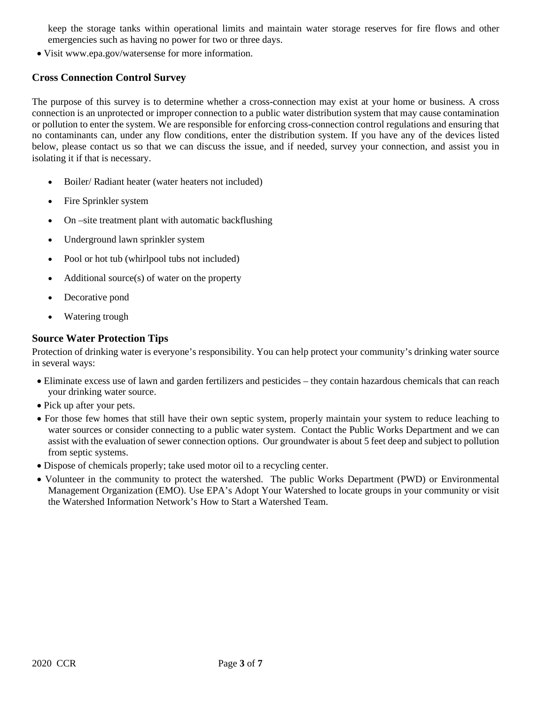keep the storage tanks within operational limits and maintain water storage reserves for fire flows and other emergencies such as having no power for two or three days.

• Visit www.epa.gov/watersense for more information.

### **Cross Connection Control Survey**

The purpose of this survey is to determine whether a cross-connection may exist at your home or business. A cross connection is an unprotected or improper connection to a public water distribution system that may cause contamination or pollution to enter the system. We are responsible for enforcing cross-connection control regulations and ensuring that no contaminants can, under any flow conditions, enter the distribution system. If you have any of the devices listed below, please contact us so that we can discuss the issue, and if needed, survey your connection, and assist you in isolating it if that is necessary.

- Boiler/ Radiant heater (water heaters not included)
- Fire Sprinkler system
- On –site treatment plant with automatic backflushing
- Underground lawn sprinkler system
- Pool or hot tub (whirlpool tubs not included)
- Additional source $(s)$  of water on the property
- Decorative pond
- Watering trough

#### **Source Water Protection Tips**

Protection of drinking water is everyone's responsibility. You can help protect your community's drinking water source in several ways:

- Eliminate excess use of lawn and garden fertilizers and pesticides they contain hazardous chemicals that can reach your drinking water source.
- Pick up after your pets.
- For those few homes that still have their own septic system, properly maintain your system to reduce leaching to water sources or consider connecting to a public water system. Contact the Public Works Department and we can assist with the evaluation of sewer connection options. Our groundwater is about 5 feet deep and subject to pollution from septic systems.
- Dispose of chemicals properly; take used motor oil to a recycling center.
- Volunteer in the community to protect the watershed. The public Works Department (PWD) or Environmental Management Organization (EMO). Use EPA's Adopt Your Watershed to locate groups in your community or visit the Watershed Information Network's How to Start a Watershed Team.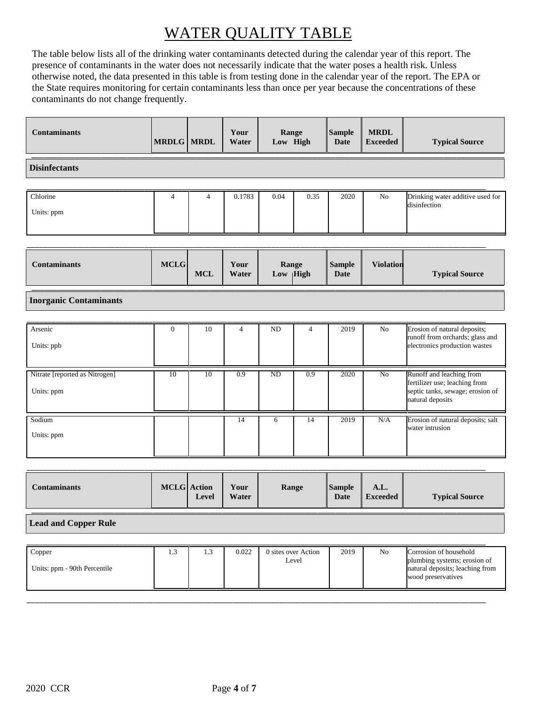# WATER QUALITY TABLE

The table below lists all of the drinking water contaminants detected during the calendar year of this report. The presence of contaminants in the water does not necessarily indicate that the water poses a health risk. Unless otherwise noted, the data presented in this table is from testing done in the calendar year of the report. The EPA or the State requires monitoring for certain contaminants less than once per year because the concentrations of these contaminants do not change frequently.

| <b>Contaminants</b>  | <b>MRDLG</b> MRDL |                | Your<br>Water | Range<br>Low High |      | Sample<br>Date | <b>MRDL</b><br><b>Exceeded</b> | <b>Typical Source</b>            |
|----------------------|-------------------|----------------|---------------|-------------------|------|----------------|--------------------------------|----------------------------------|
| <b>Disinfectants</b> |                   |                |               |                   |      |                |                                |                                  |
| Chlorine             | 4                 | $\overline{4}$ | 0.1783        | 0.04              | 0.35 | 2020           | No                             | Drinking water additive used for |
| Units: ppm           |                   |                |               |                   |      |                |                                | disinfection                     |

| Contaminants | <b>MCLG</b> | <b>MCL</b> | Your<br>Water | Range<br>$Low$   High | <b>Sample</b><br><b>Date</b> | <b>Violation</b> | <b>Typical Source</b> |
|--------------|-------------|------------|---------------|-----------------------|------------------------------|------------------|-----------------------|
|              |             |            |               |                       |                              |                  |                       |

**Inorganic Contaminants**

| Arsenic<br>Units: ppb                        | $\Omega$ | 10 | 4   | <b>ND</b> | 4   | 2019 | No  | Erosion of natural deposits;<br>runoff from orchards; glass and<br>electronics production wastes                  |
|----------------------------------------------|----------|----|-----|-----------|-----|------|-----|-------------------------------------------------------------------------------------------------------------------|
| Nitrate [reported as Nitrogen]<br>Units: ppm | 10       | 10 | 0.9 | ND        | 0.9 | 2020 | No  | Runoff and leaching from<br>fertilizer use; leaching from<br>septic tanks, sewage; erosion of<br>natural deposits |
| Sodium<br>Units: ppm                         |          |    | 14  |           | 14  | 2019 | N/A | Erosion of natural deposits; salt<br>water intrusion                                                              |

| Contaminants | <b>MCLG</b> Action<br>Level | Your<br>Water | Range | <b>Sample</b><br>Date | A.L.<br><b>Exceeded</b> | <b>Typical Source</b> |
|--------------|-----------------------------|---------------|-------|-----------------------|-------------------------|-----------------------|
|              |                             |               |       |                       |                         |                       |

**Lead and Copper Rule**

| Copper                       | 1.3 | 1.3 | 0.022 | 0 sites over Action | 2019 | N <sub>0</sub> | Corrosion of household                                                                |
|------------------------------|-----|-----|-------|---------------------|------|----------------|---------------------------------------------------------------------------------------|
| Units: ppm - 90th Percentile |     |     |       | Level               |      |                | plumbing systems; erosion of<br>natural deposits; leaching from<br>wood preservatives |
|                              |     |     |       |                     |      |                |                                                                                       |

\_\_\_\_\_\_\_\_\_\_\_\_\_\_\_\_\_\_\_\_\_\_\_\_\_\_\_\_\_\_\_\_\_\_\_\_\_\_\_\_\_\_\_\_\_\_\_\_\_\_\_\_\_\_\_\_\_\_\_\_\_\_\_\_\_\_\_\_\_\_\_\_\_\_\_\_\_\_\_\_\_\_\_\_\_\_\_\_\_\_\_\_\_\_\_\_\_\_\_\_\_\_\_\_\_\_\_\_\_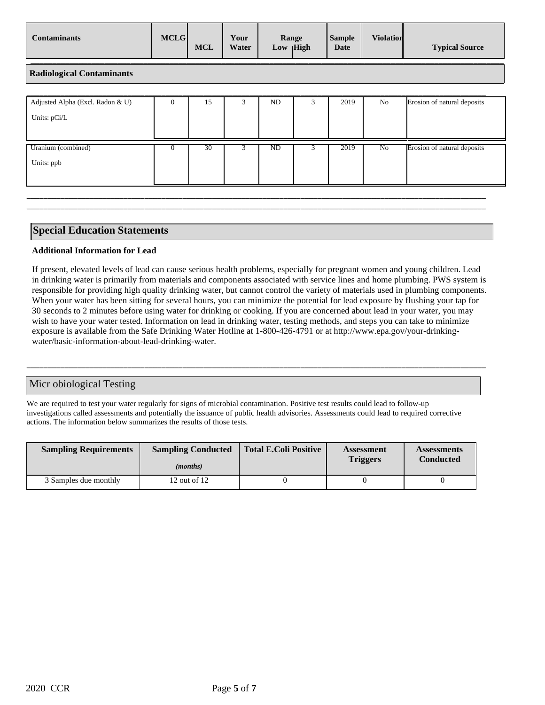| Contaminants | MCLG | <b>MCL</b> | Your<br>Water | Range<br> High<br>Low | <b>Sample</b><br>Date | <b>Violation</b> | <b>Typical Source</b> |
|--------------|------|------------|---------------|-----------------------|-----------------------|------------------|-----------------------|
|              |      |            |               |                       |                       |                  |                       |

**Radiological Contaminants**

| Adjusted Alpha (Excl. Radon & U)<br>Units: pCi/L | $\theta$ | 15 | ND | 2019 | No | Erosion of natural deposits |
|--------------------------------------------------|----------|----|----|------|----|-----------------------------|
| Uranium (combined)<br>Units: ppb                 | $\theta$ | 30 | ND | 2019 | No | Erosion of natural deposits |

\_\_\_\_\_\_\_\_\_\_\_\_\_\_\_\_\_\_\_\_\_\_\_\_\_\_\_\_\_\_\_\_\_\_\_\_\_\_\_\_\_\_\_\_\_\_\_\_\_\_\_\_\_\_\_\_\_\_\_\_\_\_\_\_\_\_\_\_\_\_\_\_\_\_\_\_\_\_\_\_\_\_\_\_\_\_\_\_\_\_\_\_\_\_\_\_\_\_\_\_\_\_\_\_\_\_\_\_\_ \_\_\_\_\_\_\_\_\_\_\_\_\_\_\_\_\_\_\_\_\_\_\_\_\_\_\_\_\_\_\_\_\_\_\_\_\_\_\_\_\_\_\_\_\_\_\_\_\_\_\_\_\_\_\_\_\_\_\_\_\_\_\_\_\_\_\_\_\_\_\_\_\_\_\_\_\_\_\_\_\_\_\_\_\_\_\_\_\_\_\_\_\_\_\_\_\_\_\_\_\_\_\_\_\_\_\_\_\_

#### **Special Education Statements**

#### **Additional Information for Lead**

If present, elevated levels of lead can cause serious health problems, especially for pregnant women and young children. Lead in drinking water is primarily from materials and components associated with service lines and home plumbing. PWS system is responsible for providing high quality drinking water, but cannot control the variety of materials used in plumbing components. When your water has been sitting for several hours, you can minimize the potential for lead exposure by flushing your tap for 30 seconds to 2 minutes before using water for drinking or cooking. If you are concerned about lead in your water, you may wish to have your water tested. Information on lead in drinking water, testing methods, and steps you can take to minimize exposure is available from the Safe Drinking Water Hotline at 1-800-426-4791 or at http://www.epa.gov/your-drinkingwater/basic-information-about-lead-drinking-water.

\_\_\_\_\_\_\_\_\_\_\_\_\_\_\_\_\_\_\_\_\_\_\_\_\_\_\_\_\_\_\_\_\_\_\_\_\_\_\_\_\_\_\_\_\_\_\_\_\_\_\_\_\_\_\_\_\_\_\_\_\_\_\_\_\_\_\_\_\_\_\_\_\_\_\_\_\_\_\_\_\_\_\_\_\_\_\_\_\_\_\_\_\_\_\_\_\_\_\_\_\_\_\_\_\_\_\_\_\_

#### Micr obiological Testing

We are required to test your water regularly for signs of microbial contamination. Positive test results could lead to follow-up investigations called assessments and potentially the issuance of public health advisories. Assessments could lead to required corrective actions. The information below summarizes the results of those tests.

| <b>Sampling Requirements</b> | <b>Sampling Conducted</b><br>( <i>months</i> ) | Total E.Coli Positive | Assessment<br><b>Triggers</b> | <b>Assessments</b><br><b>Conducted</b> |
|------------------------------|------------------------------------------------|-----------------------|-------------------------------|----------------------------------------|
| 3 Samples due monthly        | 12 out of $12$                                 |                       |                               |                                        |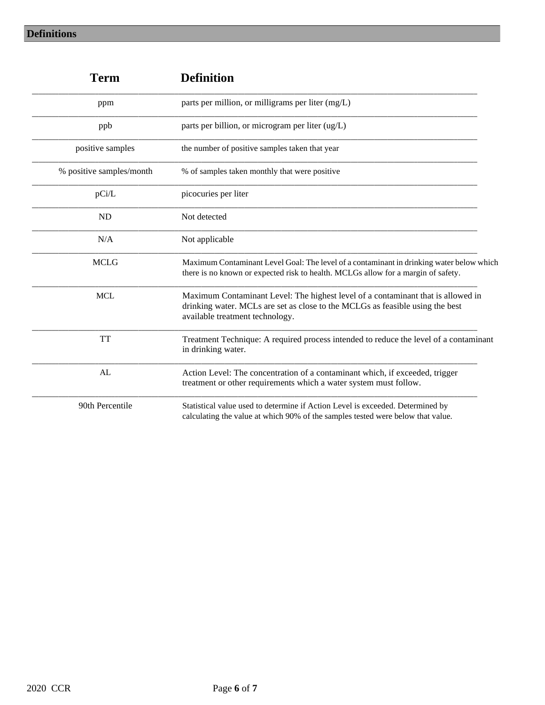| <b>Term</b>              | <b>Definition</b>                                                                                                                                                                                    |
|--------------------------|------------------------------------------------------------------------------------------------------------------------------------------------------------------------------------------------------|
| ppm                      | parts per million, or milligrams per liter (mg/L)                                                                                                                                                    |
| ppb                      | parts per billion, or microgram per liter (ug/L)                                                                                                                                                     |
| positive samples         | the number of positive samples taken that year                                                                                                                                                       |
| % positive samples/month | % of samples taken monthly that were positive                                                                                                                                                        |
| pCi/L                    | picocuries per liter                                                                                                                                                                                 |
| <b>ND</b>                | Not detected                                                                                                                                                                                         |
| N/A                      | Not applicable                                                                                                                                                                                       |
| <b>MCLG</b>              | Maximum Contaminant Level Goal: The level of a contaminant in drinking water below which<br>there is no known or expected risk to health. MCLGs allow for a margin of safety.                        |
| <b>MCL</b>               | Maximum Contaminant Level: The highest level of a contaminant that is allowed in<br>drinking water. MCLs are set as close to the MCLGs as feasible using the best<br>available treatment technology. |
| <b>TT</b>                | Treatment Technique: A required process intended to reduce the level of a contaminant<br>in drinking water.                                                                                          |
| AL                       | Action Level: The concentration of a contaminant which, if exceeded, trigger<br>treatment or other requirements which a water system must follow.                                                    |
| 90th Percentile          | Statistical value used to determine if Action Level is exceeded. Determined by<br>calculating the value at which 90% of the samples tested were below that value.                                    |